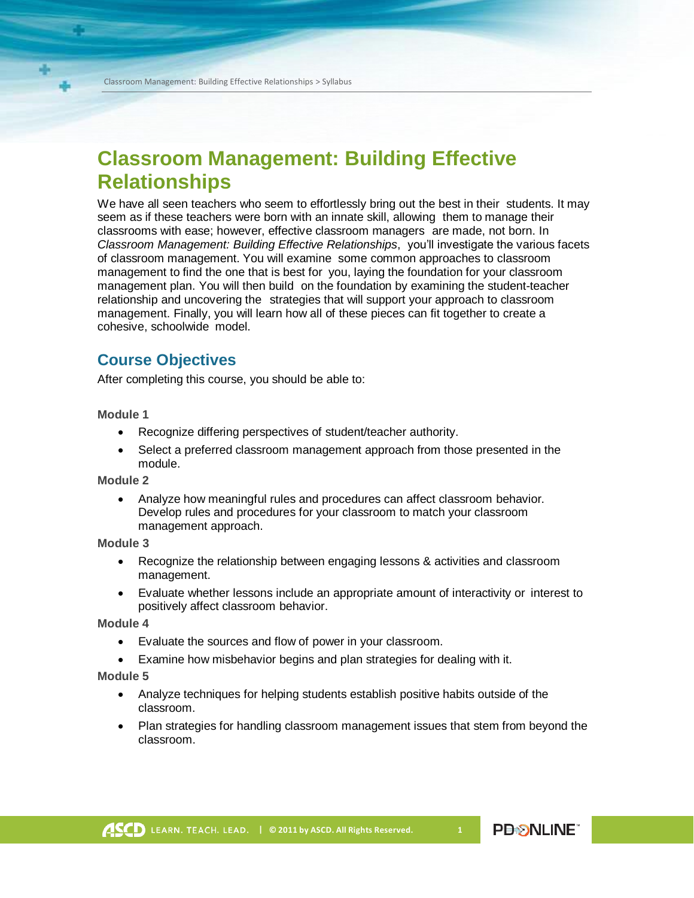## **Classroom Management: Building Effective Relationships**

We have all seen teachers who seem to effortlessly bring out the best in their students. It may seem as if these teachers were born with an innate skill, allowing them to manage their classrooms with ease; however, effective classroom managers are made, not born. In *Classroom Management: Building Effective Relationships*, you'll investigate the various facets of classroom management. You will examine some common approaches to classroom management to find the one that is best for you, laying the foundation for your classroom management plan. You will then build on the foundation by examining the student-teacher relationship and uncovering the strategies that will support your approach to classroom management. Finally, you will learn how all of these pieces can fit together to create a cohesive, schoolwide model.

## **Course Objectives**

After completing this course, you should be able to:

**Module 1**

- Recognize differing perspectives of student/teacher authority.
- Select a preferred classroom management approach from those presented in the module.

**Module 2**

• Analyze how meaningful rules and procedures can affect classroom behavior. Develop rules and procedures for your classroom to match your classroom management approach.

**Module 3**

- Recognize the relationship between engaging lessons & activities and classroom management.
- Evaluate whether lessons include an appropriate amount of interactivity or interest to positively affect classroom behavior.

**Module 4**

- Evaluate the sources and flow of power in your classroom.
- Examine how misbehavior begins and plan strategies for dealing with it.

**Module 5**

- Analyze techniques for helping students establish positive habits outside of the classroom.
- Plan strategies for handling classroom management issues that stem from beyond the classroom.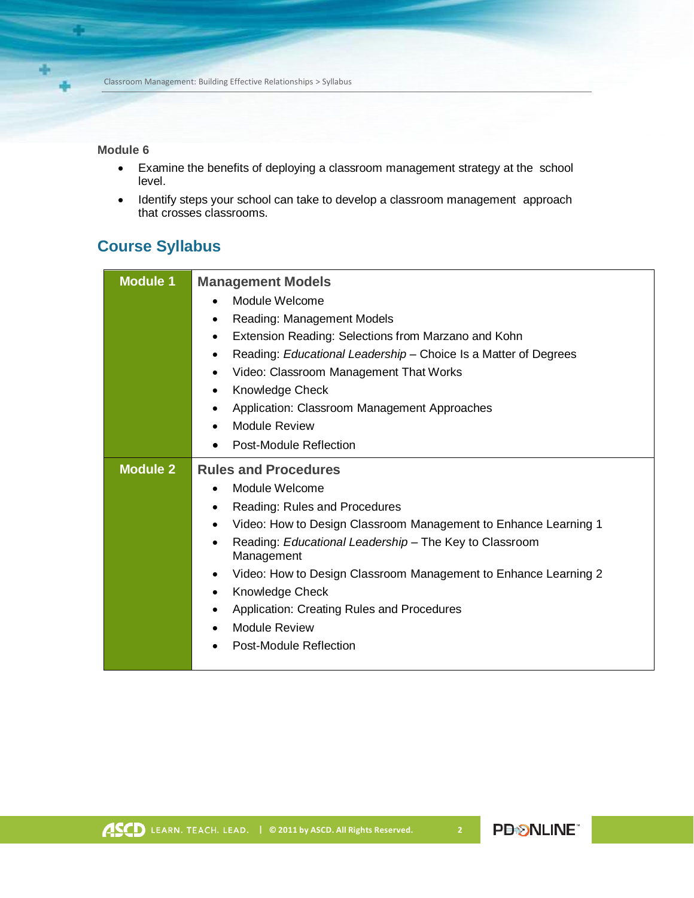## **Module 6**

92

- Examine the benefits of deploying a classroom management strategy at the school level.
- Identify steps your school can take to develop a classroom management approach that crosses classrooms.

## **Course Syllabus**

| <b>Module 1</b> | <b>Management Models</b>                                                     |
|-----------------|------------------------------------------------------------------------------|
|                 | Module Welcome                                                               |
|                 | Reading: Management Models<br>٠                                              |
|                 | Extension Reading: Selections from Marzano and Kohn<br>$\bullet$             |
|                 | Reading: Educational Leadership - Choice Is a Matter of Degrees<br>$\bullet$ |
|                 | Video: Classroom Management That Works<br>$\bullet$                          |
|                 | Knowledge Check<br>٠                                                         |
|                 | Application: Classroom Management Approaches<br>$\bullet$                    |
|                 | <b>Module Review</b><br>$\bullet$                                            |
|                 | Post-Module Reflection<br>$\bullet$                                          |
| <b>Module 2</b> | <b>Rules and Procedures</b>                                                  |
|                 | Module Welcome<br>$\bullet$                                                  |
|                 | Reading: Rules and Procedures<br>٠                                           |
|                 | Video: How to Design Classroom Management to Enhance Learning 1<br>$\bullet$ |
|                 | Reading: Educational Leadership - The Key to Classroom<br>Management         |
|                 |                                                                              |
|                 | Video: How to Design Classroom Management to Enhance Learning 2<br>$\bullet$ |
|                 | Knowledge Check                                                              |
|                 | Application: Creating Rules and Procedures<br>$\bullet$                      |
|                 | <b>Module Review</b>                                                         |
|                 | Post-Module Reflection                                                       |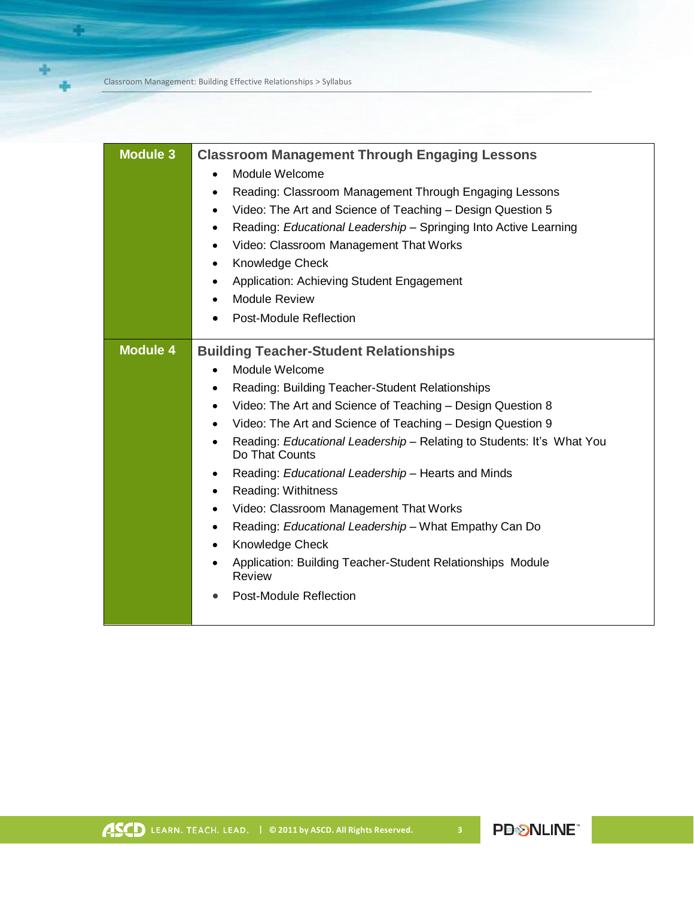Classroom Management: Building Effective Relationships > Syllabus

a,

| Knowledge Check<br>$\bullet$<br>Application: Achieving Student Engagement<br>٠<br><b>Module Review</b><br>$\bullet$<br><b>Post-Module Reflection</b><br>٠<br><b>Module 4</b><br><b>Building Teacher-Student Relationships</b><br>Module Welcome<br>$\bullet$<br>Reading: Building Teacher-Student Relationships<br>٠<br>Video: The Art and Science of Teaching - Design Question 8<br>$\bullet$<br>Video: The Art and Science of Teaching - Design Question 9<br>Reading: Educational Leadership - Relating to Students: It's What You<br>$\bullet$<br>Do That Counts<br>Reading: Educational Leadership - Hearts and Minds<br>$\bullet$<br><b>Reading: Withitness</b><br>$\bullet$<br>Video: Classroom Management That Works<br>$\bullet$<br>Reading: Educational Leadership - What Empathy Can Do<br>$\bullet$<br>Knowledge Check<br>$\bullet$<br>Application: Building Teacher-Student Relationships Module<br>$\bullet$<br>Review<br><b>Post-Module Reflection</b><br>$\bullet$ | <b>Module 3</b> | <b>Classroom Management Through Engaging Lessons</b><br>Module Welcome<br>$\bullet$<br>Reading: Classroom Management Through Engaging Lessons<br>٠<br>Video: The Art and Science of Teaching - Design Question 5<br>٠<br>Reading: Educational Leadership - Springing Into Active Learning<br>٠<br>Video: Classroom Management That Works<br>$\bullet$ |
|-------------------------------------------------------------------------------------------------------------------------------------------------------------------------------------------------------------------------------------------------------------------------------------------------------------------------------------------------------------------------------------------------------------------------------------------------------------------------------------------------------------------------------------------------------------------------------------------------------------------------------------------------------------------------------------------------------------------------------------------------------------------------------------------------------------------------------------------------------------------------------------------------------------------------------------------------------------------------------------|-----------------|-------------------------------------------------------------------------------------------------------------------------------------------------------------------------------------------------------------------------------------------------------------------------------------------------------------------------------------------------------|
|                                                                                                                                                                                                                                                                                                                                                                                                                                                                                                                                                                                                                                                                                                                                                                                                                                                                                                                                                                                     |                 |                                                                                                                                                                                                                                                                                                                                                       |
|                                                                                                                                                                                                                                                                                                                                                                                                                                                                                                                                                                                                                                                                                                                                                                                                                                                                                                                                                                                     |                 |                                                                                                                                                                                                                                                                                                                                                       |
|                                                                                                                                                                                                                                                                                                                                                                                                                                                                                                                                                                                                                                                                                                                                                                                                                                                                                                                                                                                     |                 |                                                                                                                                                                                                                                                                                                                                                       |
|                                                                                                                                                                                                                                                                                                                                                                                                                                                                                                                                                                                                                                                                                                                                                                                                                                                                                                                                                                                     |                 |                                                                                                                                                                                                                                                                                                                                                       |
|                                                                                                                                                                                                                                                                                                                                                                                                                                                                                                                                                                                                                                                                                                                                                                                                                                                                                                                                                                                     |                 |                                                                                                                                                                                                                                                                                                                                                       |
|                                                                                                                                                                                                                                                                                                                                                                                                                                                                                                                                                                                                                                                                                                                                                                                                                                                                                                                                                                                     |                 |                                                                                                                                                                                                                                                                                                                                                       |
|                                                                                                                                                                                                                                                                                                                                                                                                                                                                                                                                                                                                                                                                                                                                                                                                                                                                                                                                                                                     |                 |                                                                                                                                                                                                                                                                                                                                                       |
|                                                                                                                                                                                                                                                                                                                                                                                                                                                                                                                                                                                                                                                                                                                                                                                                                                                                                                                                                                                     |                 |                                                                                                                                                                                                                                                                                                                                                       |
|                                                                                                                                                                                                                                                                                                                                                                                                                                                                                                                                                                                                                                                                                                                                                                                                                                                                                                                                                                                     |                 |                                                                                                                                                                                                                                                                                                                                                       |
|                                                                                                                                                                                                                                                                                                                                                                                                                                                                                                                                                                                                                                                                                                                                                                                                                                                                                                                                                                                     |                 |                                                                                                                                                                                                                                                                                                                                                       |
|                                                                                                                                                                                                                                                                                                                                                                                                                                                                                                                                                                                                                                                                                                                                                                                                                                                                                                                                                                                     |                 |                                                                                                                                                                                                                                                                                                                                                       |
|                                                                                                                                                                                                                                                                                                                                                                                                                                                                                                                                                                                                                                                                                                                                                                                                                                                                                                                                                                                     |                 |                                                                                                                                                                                                                                                                                                                                                       |
|                                                                                                                                                                                                                                                                                                                                                                                                                                                                                                                                                                                                                                                                                                                                                                                                                                                                                                                                                                                     |                 |                                                                                                                                                                                                                                                                                                                                                       |
|                                                                                                                                                                                                                                                                                                                                                                                                                                                                                                                                                                                                                                                                                                                                                                                                                                                                                                                                                                                     |                 |                                                                                                                                                                                                                                                                                                                                                       |
|                                                                                                                                                                                                                                                                                                                                                                                                                                                                                                                                                                                                                                                                                                                                                                                                                                                                                                                                                                                     |                 |                                                                                                                                                                                                                                                                                                                                                       |
|                                                                                                                                                                                                                                                                                                                                                                                                                                                                                                                                                                                                                                                                                                                                                                                                                                                                                                                                                                                     |                 |                                                                                                                                                                                                                                                                                                                                                       |